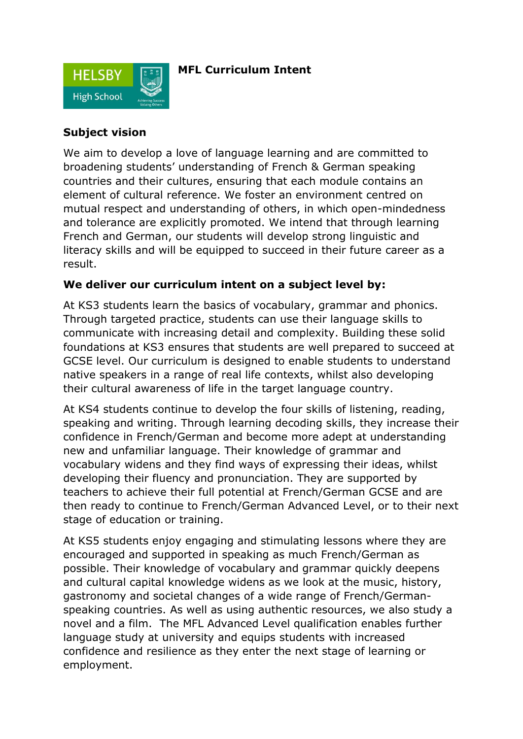

# **MFL Curriculum Intent**

#### **Subject vision**

We aim to develop a love of language learning and are committed to broadening students' understanding of French & German speaking countries and their cultures, ensuring that each module contains an element of cultural reference. We foster an environment centred on mutual respect and understanding of others, in which open-mindedness and tolerance are explicitly promoted. We intend that through learning French and German, our students will develop strong linguistic and literacy skills and will be equipped to succeed in their future career as a result.

# **We deliver our curriculum intent on a subject level by:**

At KS3 students learn the basics of vocabulary, grammar and phonics. Through targeted practice, students can use their language skills to communicate with increasing detail and complexity. Building these solid foundations at KS3 ensures that students are well prepared to succeed at GCSE level. Our curriculum is designed to enable students to understand native speakers in a range of real life contexts, whilst also developing their cultural awareness of life in the target language country.

At KS4 students continue to develop the four skills of listening, reading, speaking and writing. Through learning decoding skills, they increase their confidence in French/German and become more adept at understanding new and unfamiliar language. Their knowledge of grammar and vocabulary widens and they find ways of expressing their ideas, whilst developing their fluency and pronunciation. They are supported by teachers to achieve their full potential at French/German GCSE and are then ready to continue to French/German Advanced Level, or to their next stage of education or training.

At KS5 students enjoy engaging and stimulating lessons where they are encouraged and supported in speaking as much French/German as possible. Their knowledge of vocabulary and grammar quickly deepens and cultural capital knowledge widens as we look at the music, history, gastronomy and societal changes of a wide range of French/Germanspeaking countries. As well as using authentic resources, we also study a novel and a film. The MFL Advanced Level qualification enables further language study at university and equips students with increased confidence and resilience as they enter the next stage of learning or employment.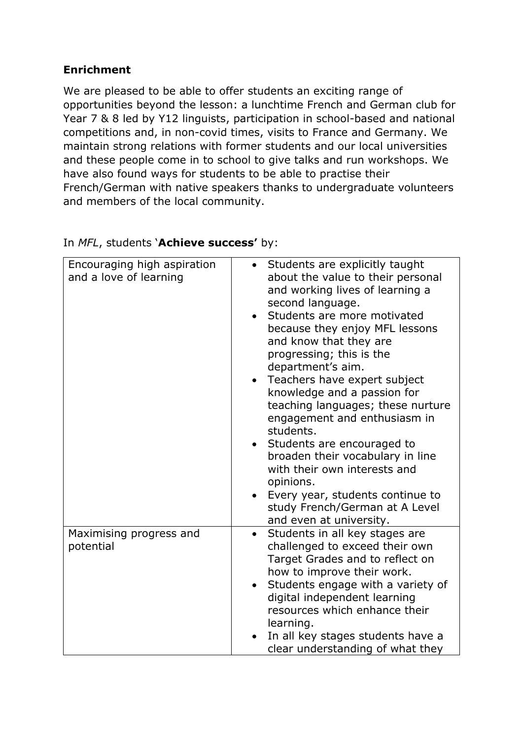# **Enrichment**

We are pleased to be able to offer students an exciting range of opportunities beyond the lesson: a lunchtime French and German club for Year 7 & 8 led by Y12 linguists, participation in school-based and national competitions and, in non-covid times, visits to France and Germany. We maintain strong relations with former students and our local universities and these people come in to school to give talks and run workshops. We have also found ways for students to be able to practise their French/German with native speakers thanks to undergraduate volunteers and members of the local community.

| Encouraging high aspiration<br>and a love of learning | Students are explicitly taught<br>about the value to their personal<br>and working lives of learning a<br>second language.<br>Students are more motivated<br>because they enjoy MFL lessons<br>and know that they are<br>progressing; this is the<br>department's aim.<br>Teachers have expert subject<br>knowledge and a passion for<br>teaching languages; these nurture<br>engagement and enthusiasm in<br>students.<br>Students are encouraged to<br>broaden their vocabulary in line<br>with their own interests and<br>opinions.<br>Every year, students continue to<br>study French/German at A Level<br>and even at university. |
|-------------------------------------------------------|-----------------------------------------------------------------------------------------------------------------------------------------------------------------------------------------------------------------------------------------------------------------------------------------------------------------------------------------------------------------------------------------------------------------------------------------------------------------------------------------------------------------------------------------------------------------------------------------------------------------------------------------|
| Maximising progress and<br>potential                  | Students in all key stages are<br>challenged to exceed their own<br>Target Grades and to reflect on<br>how to improve their work.<br>Students engage with a variety of<br>digital independent learning<br>resources which enhance their<br>learning.<br>In all key stages students have a<br>clear understanding of what they                                                                                                                                                                                                                                                                                                           |

# In *MFL*, students '**Achieve success'** by: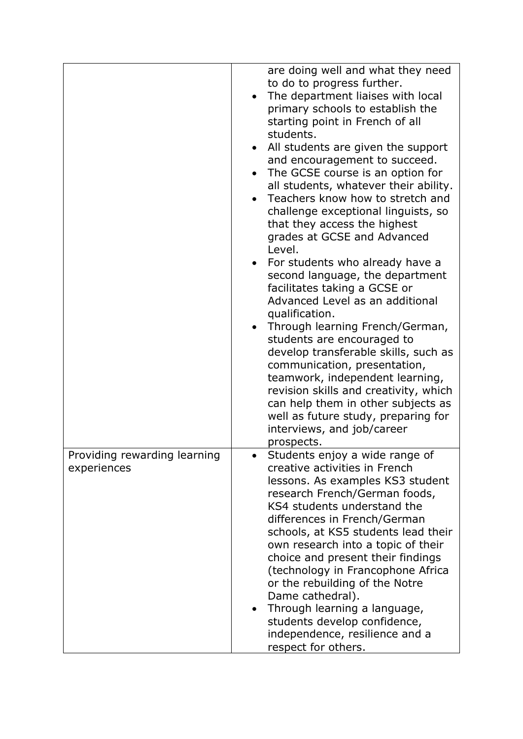|                                             | are doing well and what they need<br>to do to progress further.<br>The department liaises with local<br>primary schools to establish the<br>starting point in French of all<br>students.<br>All students are given the support<br>$\bullet$<br>and encouragement to succeed.<br>The GCSE course is an option for<br>all students, whatever their ability.<br>Teachers know how to stretch and<br>challenge exceptional linguists, so<br>that they access the highest<br>grades at GCSE and Advanced<br>Level.<br>For students who already have a<br>second language, the department<br>facilitates taking a GCSE or<br>Advanced Level as an additional<br>qualification.<br>Through learning French/German,<br>students are encouraged to<br>develop transferable skills, such as<br>communication, presentation,<br>teamwork, independent learning,<br>revision skills and creativity, which<br>can help them in other subjects as<br>well as future study, preparing for<br>interviews, and job/career<br>prospects. |
|---------------------------------------------|------------------------------------------------------------------------------------------------------------------------------------------------------------------------------------------------------------------------------------------------------------------------------------------------------------------------------------------------------------------------------------------------------------------------------------------------------------------------------------------------------------------------------------------------------------------------------------------------------------------------------------------------------------------------------------------------------------------------------------------------------------------------------------------------------------------------------------------------------------------------------------------------------------------------------------------------------------------------------------------------------------------------|
| Providing rewarding learning<br>experiences | Students enjoy a wide range of<br>creative activities in French<br>lessons. As examples KS3 student<br>research French/German foods,<br>KS4 students understand the<br>differences in French/German<br>schools, at KS5 students lead their<br>own research into a topic of their<br>choice and present their findings<br>(technology in Francophone Africa<br>or the rebuilding of the Notre<br>Dame cathedral).<br>Through learning a language,<br>students develop confidence,<br>independence, resilience and a<br>respect for others.                                                                                                                                                                                                                                                                                                                                                                                                                                                                              |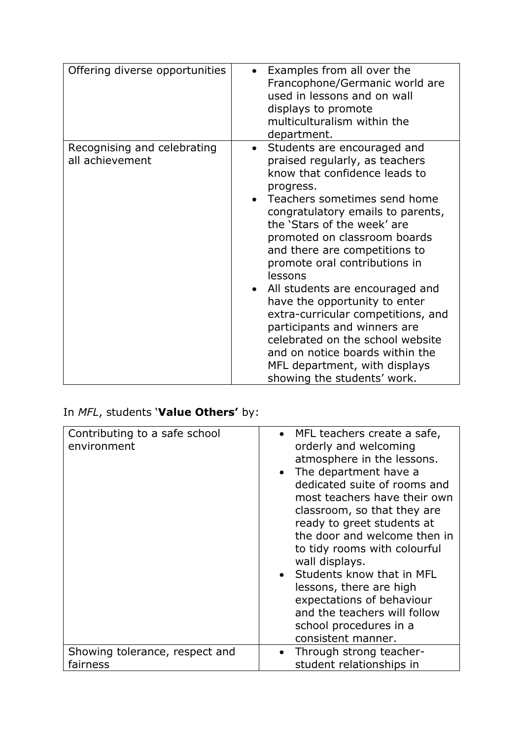| Offering diverse opportunities                 | Examples from all over the<br>Francophone/Germanic world are<br>used in lessons and on wall<br>displays to promote<br>multiculturalism within the<br>department.                                                                                                                                                                                                                                                                                                                                                                                                                                                           |
|------------------------------------------------|----------------------------------------------------------------------------------------------------------------------------------------------------------------------------------------------------------------------------------------------------------------------------------------------------------------------------------------------------------------------------------------------------------------------------------------------------------------------------------------------------------------------------------------------------------------------------------------------------------------------------|
| Recognising and celebrating<br>all achievement | Students are encouraged and<br>$\bullet$<br>praised regularly, as teachers<br>know that confidence leads to<br>progress.<br>Teachers sometimes send home<br>congratulatory emails to parents,<br>the 'Stars of the week' are<br>promoted on classroom boards<br>and there are competitions to<br>promote oral contributions in<br>lessons<br>All students are encouraged and<br>have the opportunity to enter<br>extra-curricular competitions, and<br>participants and winners are<br>celebrated on the school website<br>and on notice boards within the<br>MFL department, with displays<br>showing the students' work. |

# In *MFL*, students '**Value Others'** by:

| Contributing to a safe school<br>environment | • MFL teachers create a safe,<br>orderly and welcoming<br>atmosphere in the lessons.<br>• The department have a<br>dedicated suite of rooms and<br>most teachers have their own<br>classroom, so that they are<br>ready to greet students at<br>the door and welcome then in<br>to tidy rooms with colourful<br>wall displays.<br>• Students know that in MFL<br>lessons, there are high<br>expectations of behaviour<br>and the teachers will follow<br>school procedures in a<br>consistent manner. |
|----------------------------------------------|-------------------------------------------------------------------------------------------------------------------------------------------------------------------------------------------------------------------------------------------------------------------------------------------------------------------------------------------------------------------------------------------------------------------------------------------------------------------------------------------------------|
| Showing tolerance, respect and               | Through strong teacher-                                                                                                                                                                                                                                                                                                                                                                                                                                                                               |
| fairness                                     | student relationships in                                                                                                                                                                                                                                                                                                                                                                                                                                                                              |